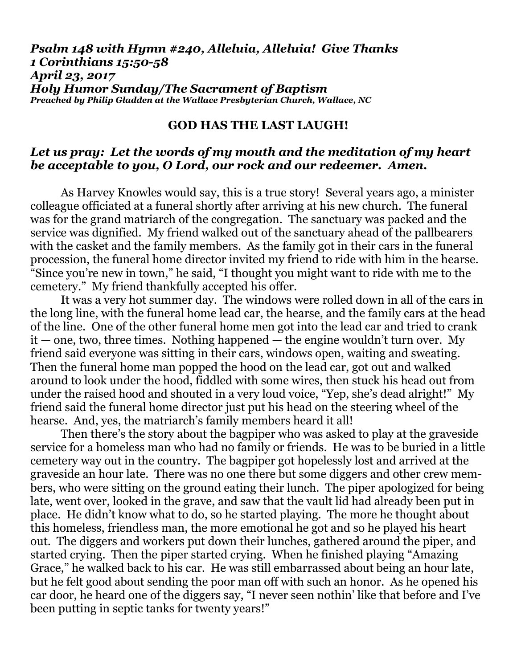## *Psalm 148 with Hymn #240, Alleluia, Alleluia! Give Thanks 1 Corinthians 15:50-58 April 23, 2017 Holy Humor Sunday/The Sacrament of Baptism Preached by Philip Gladden at the Wallace Presbyterian Church, Wallace, NC*

## **GOD HAS THE LAST LAUGH!**

# *Let us pray: Let the words of my mouth and the meditation of my heart be acceptable to you, O Lord, our rock and our redeemer. Amen.*

As Harvey Knowles would say, this is a true story!Several years ago, a minister colleague officiated at a funeral shortly after arriving at his new church. The funeral was for the grand matriarch of the congregation. The sanctuary was packed and the service was dignified. My friend walked out of the sanctuary ahead of the pallbearers with the casket and the family members. As the family got in their cars in the funeral procession, the funeral home director invited my friend to ride with him in the hearse. "Since you're new in town," he said, "I thought you might want to ride with me to the cemetery." My friend thankfully accepted his offer.

It was a very hot summer day. The windows were rolled down in all of the cars in the long line, with the funeral home lead car, the hearse, and the family cars at the head of the line. One of the other funeral home men got into the lead car and tried to crank  $it$  — one, two, three times. Nothing happened — the engine wouldn't turn over. My friend said everyone was sitting in their cars, windows open, waiting and sweating. Then the funeral home man popped the hood on the lead car, got out and walked around to look under the hood, fiddled with some wires, then stuck his head out from under the raised hood and shouted in a very loud voice, "Yep, she's dead alright!" My friend said the funeral home director just put his head on the steering wheel of the hearse. And, yes, the matriarch's family members heard it all!

Then there's the story about the bagpiper who was asked to play at the graveside service for a homeless man who had no family or friends. He was to be buried in a little cemetery way out in the country. The bagpiper got hopelessly lost and arrived at the graveside an hour late. There was no one there but some diggers and other crew members, who were sitting on the ground eating their lunch. The piper apologized for being late, went over, looked in the grave, and saw that the vault lid had already been put in place. He didn't know what to do, so he started playing. The more he thought about this homeless, friendless man, the more emotional he got and so he played his heart out. The diggers and workers put down their lunches, gathered around the piper, and started crying. Then the piper started crying. When he finished playing "Amazing Grace," he walked back to his car. He was still embarrassed about being an hour late, but he felt good about sending the poor man off with such an honor. As he opened his car door, he heard one of the diggers say, "I never seen nothin' like that before and I've been putting in septic tanks for twenty years!"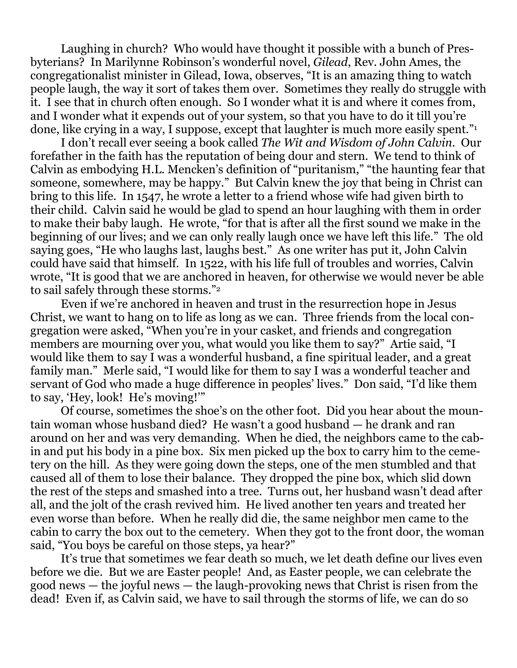Laughing in church? Who would have thought it possible with a bunch of Presbyterians? In Marilynne Robinson's wonderful novel, *Gilead*, Rev. John Ames, the congregationalist minister in Gilead, Iowa, observes, "It is an amazing thing to watch people laugh, the way it sort of takes them over. Sometimes they really do struggle with it. I see that in church often enough. So I wonder what it is and where it comes from, and I wonder what it expends out of your system, so that you have to do it till you're done, like crying in a way, I suppose, except that laughter is much more easily spent."<sup>1</sup>

I don't recall ever seeing a book called *The Wit and Wisdom of John Calvin*. Our forefather in the faith has the reputation of being dour and stern. We tend to think of Calvin as embodying H.L. Mencken's definition of "puritanism," "the haunting fear that someone, somewhere, may be happy." But Calvin knew the joy that being in Christ can bring to this life. In 1547, he wrote a letter to a friend whose wife had given birth to their child. Calvin said he would be glad to spend an hour laughing with them in order to make their baby laugh. He wrote, "for that is after all the first sound we make in the beginning of our lives; and we can only really laugh once we have left this life." The old saying goes, "He who laughs last, laughs best." As one writer has put it, John Calvin could have said that himself. In 1522, with his life full of troubles and worries, Calvin wrote, "It is good that we are anchored in heaven, for otherwise we would never be able to sail safely through these storms."<sup>2</sup>

Even if we're anchored in heaven and trust in the resurrection hope in Jesus Christ, we want to hang on to life as long as we can. Three friends from the local congregation were asked, "When you're in your casket, and friends and congregation members are mourning over you, what would you like them to say?" Artie said, "I would like them to say I was a wonderful husband, a fine spiritual leader, and a great family man." Merle said, "I would like for them to say I was a wonderful teacher and servant of God who made a huge difference in peoples' lives." Don said, "I'd like them to say, 'Hey, look! He's moving!'"

Of course, sometimes the shoe's on the other foot. Did you hear about the mountain woman whose husband died? He wasn't a good husband — he drank and ran around on her and was very demanding. When he died, the neighbors came to the cabin and put his body in a pine box. Six men picked up the box to carry him to the cemetery on the hill. As they were going down the steps, one of the men stumbled and that caused all of them to lose their balance. They dropped the pine box, which slid down the rest of the steps and smashed into a tree. Turns out, her husband wasn't dead after all, and the jolt of the crash revived him. He lived another ten years and treated her even worse than before. When he really did die, the same neighbor men came to the cabin to carry the box out to the cemetery. When they got to the front door, the woman said, "You boys be careful on those steps, ya hear?"

It's true that sometimes we fear death so much, we let death define our lives even before we die. But we are Easter people! And, as Easter people, we can celebrate the good news — the joyful news — the laugh-provoking news that Christ is risen from the dead! Even if, as Calvin said, we have to sail through the storms of life, we can do so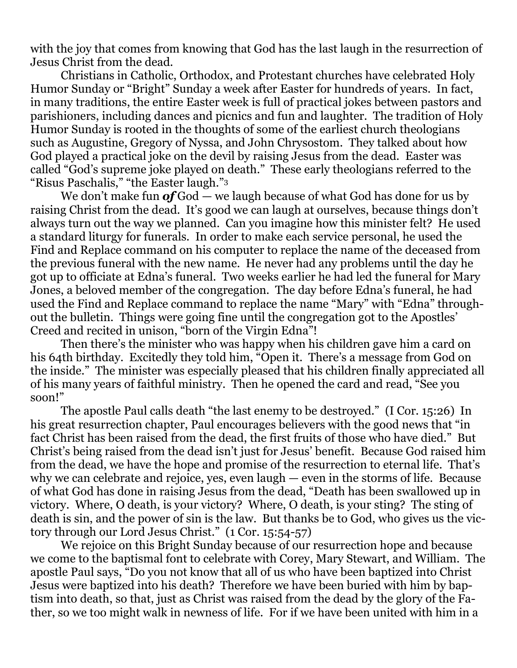with the joy that comes from knowing that God has the last laugh in the resurrection of Jesus Christ from the dead.

Christians in Catholic, Orthodox, and Protestant churches have celebrated Holy Humor Sunday or "Bright" Sunday a week after Easter for hundreds of years. In fact, in many traditions, the entire Easter week is full of practical jokes between pastors and parishioners, including dances and picnics and fun and laughter. The tradition of Holy Humor Sunday is rooted in the thoughts of some of the earliest church theologians such as Augustine, Gregory of Nyssa, and John Chrysostom. They talked about how God played a practical joke on the devil by raising Jesus from the dead. Easter was called "God's supreme joke played on death." These early theologians referred to the "Risus Paschalis," "the Easter laugh."<sup>3</sup>

We don't make fun *of* God — we laugh because of what God has done for us by raising Christ from the dead. It's good we can laugh at ourselves, because things don't always turn out the way we planned. Can you imagine how this minister felt? He used a standard liturgy for funerals. In order to make each service personal, he used the Find and Replace command on his computer to replace the name of the deceased from the previous funeral with the new name. He never had any problems until the day he got up to officiate at Edna's funeral. Two weeks earlier he had led the funeral for Mary Jones, a beloved member of the congregation. The day before Edna's funeral, he had used the Find and Replace command to replace the name "Mary" with "Edna" throughout the bulletin. Things were going fine until the congregation got to the Apostles' Creed and recited in unison, "born of the Virgin Edna"!

Then there's the minister who was happy when his children gave him a card on his 64th birthday. Excitedly they told him, "Open it. There's a message from God on the inside." The minister was especially pleased that his children finally appreciated all of his many years of faithful ministry. Then he opened the card and read, "See you soon!"

The apostle Paul calls death "the last enemy to be destroyed." (I Cor. 15:26) In his great resurrection chapter, Paul encourages believers with the good news that "in fact Christ has been raised from the dead, the first fruits of those who have died." But Christ's being raised from the dead isn't just for Jesus' benefit. Because God raised him from the dead, we have the hope and promise of the resurrection to eternal life. That's why we can celebrate and rejoice, yes, even laugh — even in the storms of life. Because of what God has done in raising Jesus from the dead, "Death has been swallowed up in victory. Where, O death, is your victory? Where, O death, is your sting? The sting of death is sin, and the power of sin is the law. But thanks be to God, who gives us the victory through our Lord Jesus Christ." (1 Cor. 15:54-57)

We rejoice on this Bright Sunday because of our resurrection hope and because we come to the baptismal font to celebrate with Corey, Mary Stewart, and William. The apostle Paul says, "Do you not know that all of us who have been baptized into Christ Jesus were baptized into his death? Therefore we have been buried with him by baptism into death, so that, just as Christ was raised from the dead by the glory of the Father, so we too might walk in newness of life. For if we have been united with him in a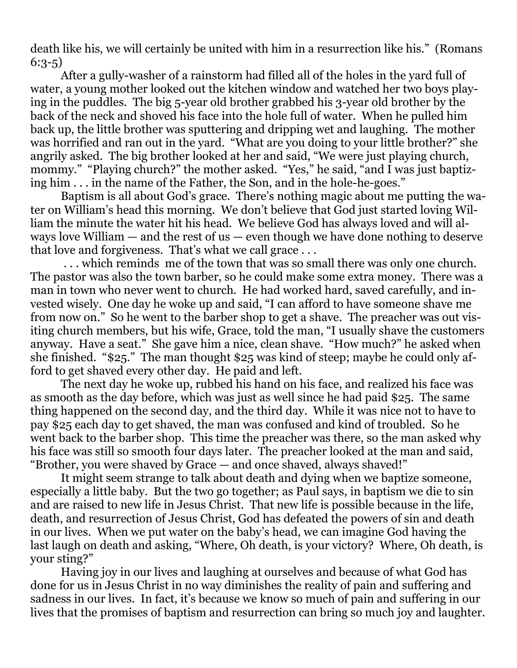death like his, we will certainly be united with him in a resurrection like his." (Romans 6:3-5)

After a gully-washer of a rainstorm had filled all of the holes in the yard full of water, a young mother looked out the kitchen window and watched her two boys playing in the puddles. The big 5-year old brother grabbed his 3-year old brother by the back of the neck and shoved his face into the hole full of water. When he pulled him back up, the little brother was sputtering and dripping wet and laughing. The mother was horrified and ran out in the yard. "What are you doing to your little brother?" she angrily asked. The big brother looked at her and said, "We were just playing church, mommy." "Playing church?" the mother asked. "Yes," he said, "and I was just baptizing him . . . in the name of the Father, the Son, and in the hole-he-goes."

Baptism is all about God's grace. There's nothing magic about me putting the water on William's head this morning. We don't believe that God just started loving William the minute the water hit his head. We believe God has always loved and will always love William  $-$  and the rest of us  $-$  even though we have done nothing to deserve that love and forgiveness. That's what we call grace . . .

. . . which reminds me of the town that was so small there was only one church. The pastor was also the town barber, so he could make some extra money. There was a man in town who never went to church. He had worked hard, saved carefully, and invested wisely. One day he woke up and said, "I can afford to have someone shave me from now on." So he went to the barber shop to get a shave. The preacher was out visiting church members, but his wife, Grace, told the man, "I usually shave the customers anyway. Have a seat." She gave him a nice, clean shave. "How much?" he asked when she finished. "\$25." The man thought \$25 was kind of steep; maybe he could only afford to get shaved every other day. He paid and left.

The next day he woke up, rubbed his hand on his face, and realized his face was as smooth as the day before, which was just as well since he had paid \$25. The same thing happened on the second day, and the third day. While it was nice not to have to pay \$25 each day to get shaved, the man was confused and kind of troubled. So he went back to the barber shop. This time the preacher was there, so the man asked why his face was still so smooth four days later. The preacher looked at the man and said, "Brother, you were shaved by Grace — and once shaved, always shaved!"

It might seem strange to talk about death and dying when we baptize someone, especially a little baby. But the two go together; as Paul says, in baptism we die to sin and are raised to new life in Jesus Christ. That new life is possible because in the life, death, and resurrection of Jesus Christ, God has defeated the powers of sin and death in our lives. When we put water on the baby's head, we can imagine God having the last laugh on death and asking, "Where, Oh death, is your victory? Where, Oh death, is your sting?"

Having joy in our lives and laughing at ourselves and because of what God has done for us in Jesus Christ in no way diminishes the reality of pain and suffering and sadness in our lives. In fact, it's because we know so much of pain and suffering in our lives that the promises of baptism and resurrection can bring so much joy and laughter.